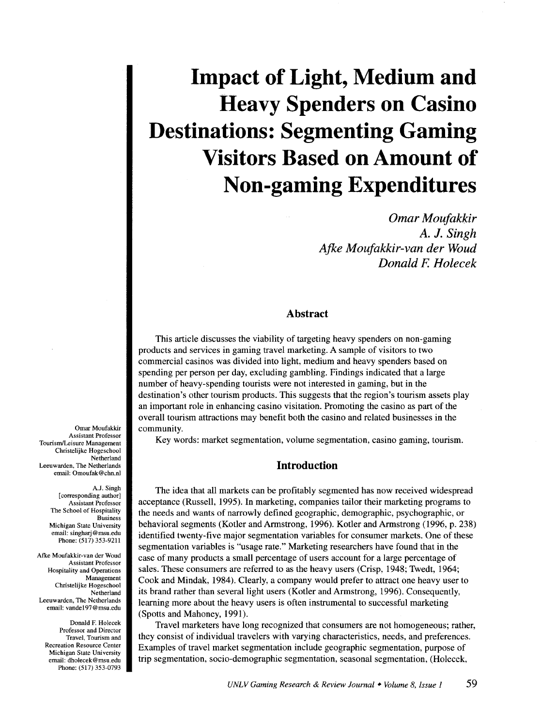# **Impact of Light, Medium and Heavy Spenders on Casino Destinations: Segmenting Gaming Visitors Based on Amount of Non-gaming Expenditures**

*Omar Moufakkir A.* **J.** *Singh Afke Moufakkir-van der Woud Donald F. Holecek* 

# **Abstract**

This article discusses the viability of targeting heavy spenders on non-gaming products and services in gaming travel marketing. A sample of visitors to two commercial casinos was divided into light, medium and heavy spenders based on spending per person per day, excluding gambling. Findings indicated that a large number of heavy-spending tourists were not interested in gaming, but in the destination's other tourism products. This suggests that the region's tourism assets play an important role in enhancing casino visitation. Promoting the casino as part of the overall tourism attractions may benefit both the casino and related businesses in the community.

Key words: market segmentation, volume segmentation, casino gaming, tourism.

# **Introduction**

The idea that all markets can be profitably segmented has now received widespread acceptance (Russell, 1995). In marketing, companies tailor their marketing programs to the needs and wants of narrowly defined geographic, demographic, psychographic, or behavioral segments (Kotler and Armstrong, 1996). Kotler and Armstrong (1996, p. 238) identified twenty-five major segmentation variables for consumer markets. One of these segmentation variables is "usage rate." Marketing researchers have found that in the case of many products a small percentage of users account for a large percentage of sales. These consumers are referred to as the heavy users (Crisp, 1948; Twedt, 1964; Cook and Mindak, 1984). Clearly, a company would prefer to attract one heavy user to its brand rather than several light users (Kotler and Armstrong, 1996). Consequently, learning more about the heavy users is often instrumental to successful marketing (Spotts and Mahoney, 1991).

Travel marketers have long recognized that consumers are not homogeneous; rather, they consist of individual travelers with varying characteristics, needs, and preferences. Examples of travel market segmentation include geographic segmentation, purpose of trip segmentation, socio-demographic segmentation, seasonal segmentation, (Holecek,

Omar Moufakkir Assistant Professor Tourism/Leisure Management Christelijke Hogeschool Netherland Leeuwarden, The Netherlands email: Omoufak@chn.nl

> AJ. Singh [corresponding author] Assistant Professor The School of Hospitality Business Michigan State University email: singharj@msu.edu Phone: (517) 353-9211

Afke Moufakkir-van der Woud Assistant Professor Hospitality and Operations Management Christelijke Hogeschool Netherland Leeuwarden, The Netherlands email: vandel97 @msu.edu

Donald F. Holecek Professor and Director Travel, Tourism and Recreation Resource Center Michigan State University email: dholecek@msu.edu Phone: (517) 353-0793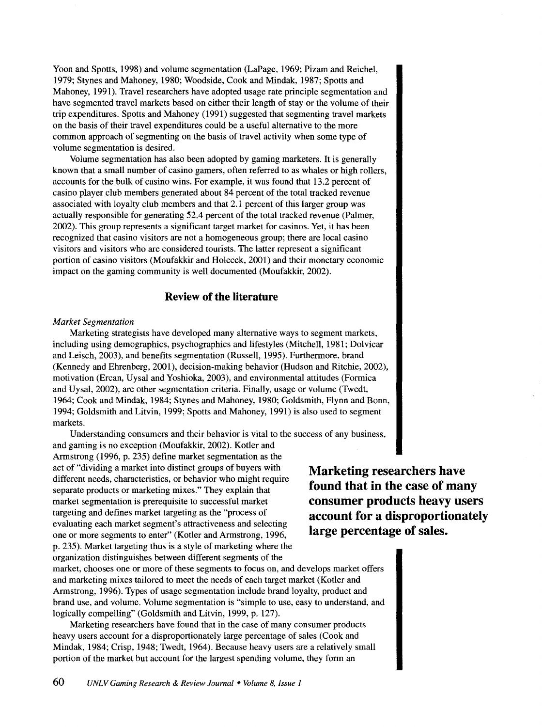Yoon and Spotts, 1998) and volume segmentation (LaPage, 1969; Pizam and Reichel, 1979; Stynes and Mahoney, 1980; Woodside, Cook and Mindak, 1987; Spotts and Mahoney, 1991). Travel researchers have adopted usage rate principle segmentation and have segmented travel markets based on either their length of stay or the volume of their trip expenditures. Spotts and Mahoney (1991) suggested that segmenting travel markets on the basis of their travel expenditures could be a useful alternative to the more common approach of segmenting on the basis of travel activity when some type of volume segmentation is desired.

Volume segmentation has also been adopted by gaming marketers. It is generally known that a small number of casino gamers, often referred to as whales or high rollers. accounts for the bulk of casino wins. For example, it was found that 13.2 percent of casino player club members generated about 84 percent of the total tracked revenue associated with loyalty club members and that 2.1 percent of this larger group was actually responsible for generating 52.4 percent of the total tracked revenue (Palmer, 2002). This group represents a significant target market for casinos. Yet, it has been recognized that casino visitors are not a homogeneous group; there are local casino visitors and visitors who are considered tourists. The latter represent a significant portion of casino visitors (Moufakkir and Holecek, 2001) and their monetary economic impact on the gaming community is well documented (Moufakkir, 2002).

# **Review of the literature**

#### *Market Segmentation*

Marketing strategists have developed many alternative ways to segment markets, including using demographics, psychographies and lifestyles (Mitchell, 1981; Dolvicar and Leisch, 2003), and benefits segmentation (Russell, 1995). Furthermore, brand (Kennedy and Ehrenberg, 2001), decision-making behavior (Hudson and Ritchie, 2002), motivation (Ercan, Uysal and Yoshioka, 2003), and environmental attitudes (Formica and Uysal, 2002), are other segmentation criteria. Finally, usage or volume (Twedt, 1964; Cook and Mindak, 1984; Stynes and Mahoney, 1980; Goldsmith, Flynn and Bonn, 1994; Goldsmith and Litvin, 1999; Spotts and Mahoney, 1991) is also used to segment markets.

Understanding consumers and their behavior is vital to the success of any business,

and gaming is no exception (Moufakkir, 2002). Kotler and Armstrong (1996, p. 235) define market segmentation as the act of "dividing a market into distinct groups of buyers with different needs, characteristics, or behavior who might require separate products or marketing mixes." They explain that market segmentation is prerequisite to successful market targeting and defines market targeting as the "process of evaluating each market segment's attractiveness and selecting one or more segments to enter" (Kotler and Armstrong, 1996, p. 235). Market targeting thus is a style of marketing where the organization distinguishes between different segments of the

market, chooses one or more of these segments to focus on, and develops market offers and marketing mixes tailored to meet the needs of each target market (Kotler and Armstrong, 1996). Types of usage segmentation include brand loyalty, product and brand use, and volume. Volume segmentation is "simple to use, easy to understand, and logically compelling" (Goldsmith and Litvin, 1999, p. 127).

Marketing researchers have found that in the case of many consumer products heavy users account for a disproportionately large percentage of sales (Cook and Mindak, 1984; Crisp, 1948; Twedt, 1964). Because heavy users are a relatively small portion of the market but account for the largest spending volume, they form an

**Marketing researchers have found that in the case of many consumer products heavy users account for a disproportionately large percentage of sales.**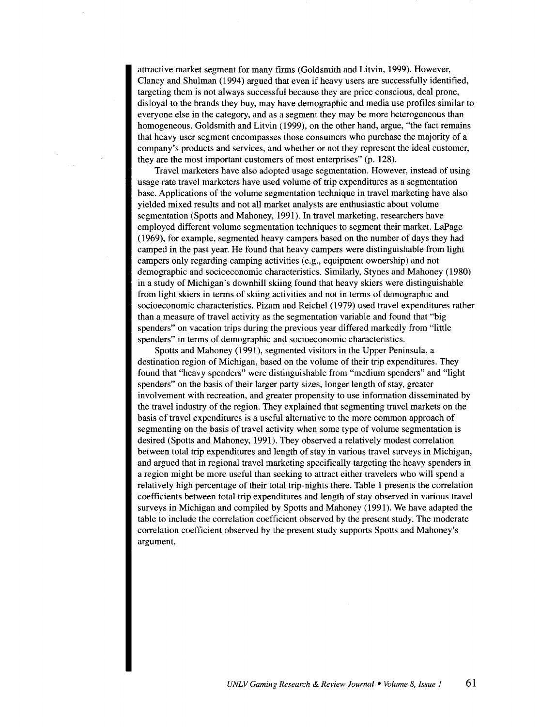attractive market segment for many firms (Goldsmith and Litvin, 1999). However, Clancy and Shulman ( 1994) argued that even if heavy users are successfully identified, targeting them is not always successful because they are price conscious, deal prone, disloyal to the brands they buy, may have demographic and media use profiles similar to everyone else in the category, and as a segment they may be more heterogeneous than homogeneous. Goldsmith and Litvin (1999), on the other hand, argue, "the fact remains that heavy user segment encompasses those consumers who purchase the majority of a company's products and services, and whether or not they represent the ideal customer, they are the most important customers of most enterprises" (p. 128).

Travel marketers have also adopted usage segmentation. However, instead of using usage rate travel marketers have used volume of trip expenditures as a segmentation base. Applications of the volume segmentation technique in travel marketing have also yielded mixed results and not all market analysts are enthusiastic about volume segmentation (Spotts and Mahoney, 1991). In travel marketing, researchers have employed different volume segmentation techniques to segment their market. LaPage (1969), for example, segmented heavy campers based on the number of days they had camped in the past year. He found that heavy campers were distinguishable from light campers only regarding camping activities (e.g., equipment ownership) and not demographic and socioeconomic characteristics. Similarly, Stynes and Mahoney (1980) in a study of Michigan's downhill skiing found that heavy skiers were distinguishable from light skiers in terms of skiing activities and not in terms of demographic and socioeconomic characteristics. Pizam and Reichel (1979) used travel expenditures rather than a measure of travel activity as the segmentation variable and found that "big spenders" on vacation trips during the previous year differed markedly from "little spenders" in terms of demographic and socioeconomic characteristics.

Spotts and Mahoney (1991), segmented visitors in the Upper Peninsula, a destination region of Michigan, based on the volume of their trip expenditures. They found that "heavy spenders" were distinguishable from "medium spenders" and "light spenders" on the basis of their larger party sizes, longer length of stay, greater involvement with recreation, and greater propensity to use information disseminated by the travel industry of the region. They explained that segmenting travel markets on the basis of travel expenditures is a useful alternative to the more common approach of segmenting on the basis of travel activity when some type of volume segmentation is desired (Spotts and Mahoney, 1991). They observed a relatively modest correlation between total trip expenditures and length of stay in various travel surveys in Michigan, and argued that in regional travel marketing specifically targeting the heavy spenders in a region might be more useful than seeking to attract either travelers who will spend a relatively high percentage of their total trip-nights there. Table 1 presents the correlation coefficients between total trip expenditures and length of stay observed in various travel surveys in Michigan and compiled by Spotts and Mahoney (1991). We have adapted the table to include the correlation coefficient observed by the present study. The moderate correlation coefficient observed by the present study supports Spotts and Mahoney's argument.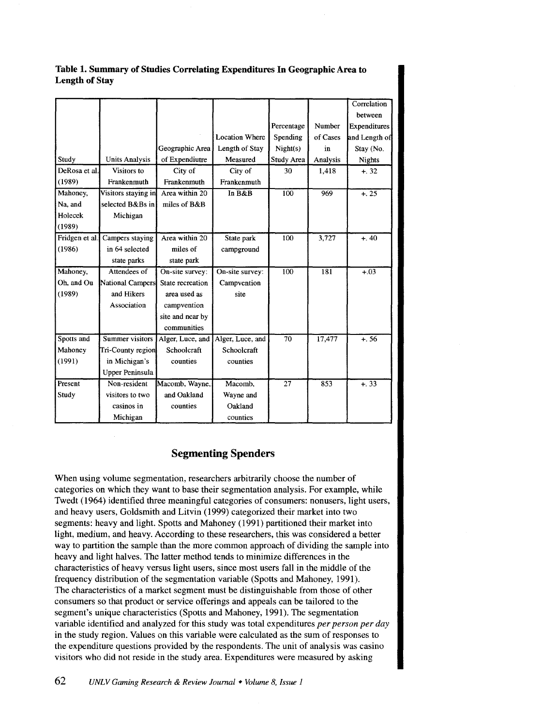# **Table 1. Summary of Studies Correlating Expenditures In Geographic Area to Length of** Stay

|                |                       |                  |                       |                 |          | Correlation         |
|----------------|-----------------------|------------------|-----------------------|-----------------|----------|---------------------|
|                |                       |                  |                       |                 |          | between             |
|                |                       |                  |                       | Percentage      | Number   | <b>Expenditures</b> |
|                |                       |                  | <b>Location Where</b> | Spending        | of Cases | and Length of       |
|                |                       | Geographic Area  | Length of Stay        | Night(s)        | in       | Stay (No.           |
| Study          | <b>Units Analysis</b> | of Expendiutre   | Measured              | Study Area      | Analysis | <b>Nights</b>       |
| DeRosa et al.  | Visitors to           | City of          | City of               | 30              | 1,418    | $+.32$              |
| (1989)         | Frankenmuth           | Frankenmuth      | Frankenmuth           |                 |          |                     |
| Mahoney,       | Visitors staying in   | Area within 20   | In B&B                | 100             | 969      | $+ 25$              |
| Na, and        | selected B&Bs in      | miles of B&B     |                       |                 |          |                     |
| Holecek        | Michigan              |                  |                       |                 |          |                     |
| (1989)         |                       |                  |                       |                 |          |                     |
| Fridgen et al. | Campers staying       | Area within 20   | State park            | 100             | 3,727    | $+.40$              |
| (1986)         | in 64 selected        | miles of         | campground            |                 |          |                     |
|                | state parks           | state park       |                       |                 |          |                     |
| Mahoney,       | Attendees of          | On-site survey:  | On-site survey:       | 100             | 181      | $+.03$              |
| Oh. and Ou     | National Campers      | State recreation | Campvention           |                 |          |                     |
| (1989)         | and Hikers            | area used as     | site                  |                 |          |                     |
|                | Association           | campvention      |                       |                 |          |                     |
|                |                       | site and near by |                       |                 |          |                     |
|                |                       | communities      |                       |                 |          |                     |
| Spotts and     | Summer visitors       | Alger, Luce, and | Alger, Luce, and      | $\overline{70}$ | 17,477   | $+.56$              |
| Mahoney        | Tri-County region     | Schoolcraft      | Schoolcraft           |                 |          |                     |
| (1991)         | in Michigan's         | counties         | counties              |                 |          |                     |
|                | Upper Peninsula       |                  |                       |                 |          |                     |
| Present        | Non-resident          | Macomb, Wayne,   | Macomb,               | 27              | 853      | $+33$               |
| Study          | visitors to two       | and Oakland      | Wayne and             |                 |          |                     |
|                | casinos in            | counties         | Oakland               |                 |          |                     |
|                | Michigan              |                  | counties              |                 |          |                     |

# **Segmenting Spenders**

When using volume segmentation, researchers arbitrarily choose the number of categories on which they want to base their segmentation analysis. For example, while Twedt (1964) identified three meaningful categories of consumers: nonusers, light users, and heavy users, Goldsmith and Litvin (1999) categorized their market into two segments: heavy and light. Spotts and Mahoney (1991) partitioned their market into light, medium, and heavy. According to these researchers, this was considered a better way to partition the sample than the more common approach of dividing the sample into heavy and light halves. The latter method tends to minimize differences in the characteristics of heavy versus light users, since most users fall in the middle of the frequency distribution of the segmentation variable (Spotts and Mahoney, 1991). The characteristics of a market segment must be distinguishable from those of other consumers so that product or service offerings and appeals can be tailored to the segment's unique characteristics (Spotts and Mahoney, 1991). The segmentation variable identified and analyzed for this study was total expenditures *per person per* day in the study region. Values on this variable were calculated as the sum of responses to the expenditure questions provided by the respondents. The unit of analysis was casino visitors who did not reside in the study area. Expenditures were measured by asking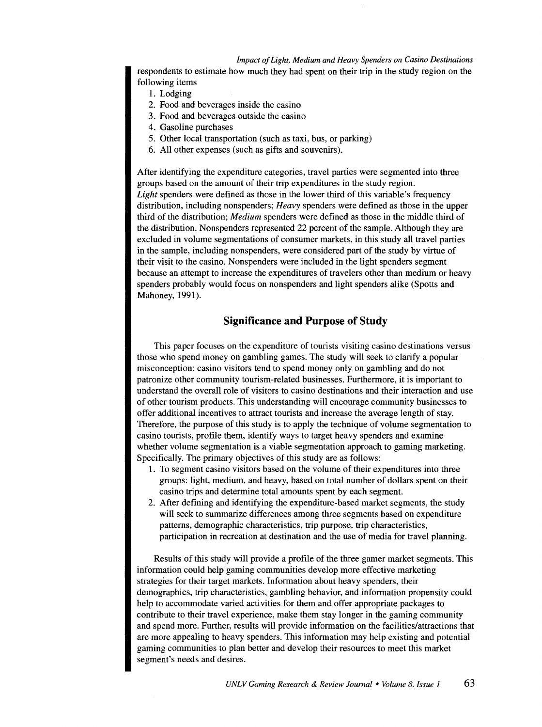*Impact of Light, Medium and Heavy Spenders on Casino Destinations* 

respondents to estimate how much they had spent on their trip in the study region on the following items

- 1. Lodging
- 2. Food and beverages inside the casino
- 3. Food and beverages outside the casino
- 4. Gasoline purchases
- 5. Other local transportation (such as taxi, bus, or parking)
- 6. All other expenses (such as gifts and souvenirs).

After identifying the expenditure categories, travel parties were segmented into three groups based on the amount of their trip expenditures in the study region. Light spenders were defined as those in the lower third of this variable's frequency distribution, including nonspenders; *Heavy* spenders were defined as those in the upper third of the distribution; *Medium* spenders were defined as those in the middle third of the distribution. Nonspenders represented 22 percent of the sample. Although they are excluded in volume segmentations of consumer markets, in this study all travel parties in the sample, including nonspenders, were considered part of the study by virtue of their visit to the casino. Nonspenders were included in the light spenders segment because an attempt to increase the expenditures of travelers other than medium or heavy spenders probably would focus on nonspenders and light spenders alike (Spotts and Mahoney, 1991).

# **Significance and Purpose of Study**

This paper focuses on the expenditure of tourists visiting casino destinations versus those who spend money on gambling games. The study will seek to clarify a popular misconception: casino visitors tend to spend money only on gambling and do not patronize other community tourism-related businesses. Furthermore, it is important to understand the overall role of visitors to casino destinations and their interaction and use of other tourism products. This understanding will encourage community businesses to offer additional incentives to attract tourists and increase the average length of stay. Therefore, the purpose of this study is to apply the technique of volume segmentation to casino tourists, profile them, identify ways to target heavy spenders and examine whether volume segmentation is a viable segmentation approach to gaming marketing. Specifically. The primary objectives of this study are as follows:

- 1. To segment casino visitors based on the volume of their expenditures into three groups: light, medium, and heavy, based on total number of dollars spent on their casino trips and determine total amounts spent by each segment.
- 2. After defining and identifying the expenditure-based market segments, the study will seek to summarize differences among three segments based on expenditure patterns, demographic characteristics, trip purpose, trip characteristics, participation in recreation at destination and the use of media for travel planning.

Results of this study will provide a profile of the three gamer market segments. This information could help gaming communities develop more effective marketing strategies for their target markets. Information about heavy spenders, their demographics, trip characteristics, gambling behavior, and information propensity could help to accommodate varied activities for them and offer appropriate packages to contribute to their travel experience, make them stay longer in the gaming community and spend more. Further, results will provide information on the facilities/attractions that are more appealing to heavy spenders. This information may help existing and potential gaming communities to plan better and develop their resources to meet this market segment's needs and desires.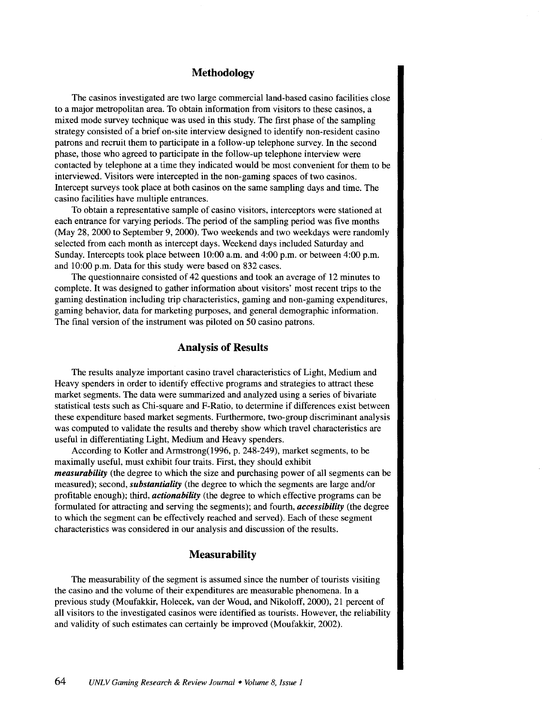# **Methodology**

The casinos investigated are two large commercial land-based casino facilities close to a major metropolitan area. To obtain information from visitors to these casinos, a mixed mode survey technique was used in this study. The first phase of the sampling strategy consisted of a brief on-site interview designed to identify non-resident casino patrons and recruit them to participate in a follow-up telephone survey. In the second phase, those who agreed to participate in the follow-up telephone interview were contacted by telephone at a time they indicated would be most convenient for them to be interviewed. Visitors were intercepted in the non-gaming spaces of two casinos. Intercept surveys took place at both casinos on the same sampling days and time. The casino facilities have multiple entrances.

To obtain a representative sample of casino visitors, interceptors were stationed at each entrance for varying periods. The period of the sampling period was five months (May 28, 2000 to September 9, 2000). Two weekends and two weekdays were randomly selected from each month as intercept days. Weekend days included Saturday and Sunday. Intercepts took place between 10:00 a.m. and 4:00 p.m. or between 4:00 p.m. and 10:00 p.m. Data for this study were based on 832 cases.

The questionnaire consisted of 42questions and took an average of 12 minutes to complete. It was designed to gather information about visitors' most recent trips to the gaming destination including trip characteristics, gaming and non-gaming expenditures, gaming behavior, data for marketing purposes, and general demographic information. The final version of the instrument was piloted on 50 casino patrons.

## **Analysis of Results**

The results analyze important casino travel characteristics of Light, Medium and Heavy spenders in order to identify effective programs and strategies to attract these market segments. The data were summarized and analyzed using a series of bivariate statistical tests such as Chi-square and F-Ratio, to determine if differences exist between these expenditure based market segments. Furthermore, two-group discriminant analysis was computed to validate the results and thereby show which travel characteristics are useful in differentiating Light, Medium and Heavy spenders.

According to Kotler and Armstrong( 1996, p. 248-249), market segments, to be maximally useful, must exhibit four traits. First, they should exhibit *measurability* (the degree to which the size and purchasing power of all segments can be measured); second, *substantiality* (the degree to which the segments are large and/or profitable enough); third, *actionability* (the degree to which effective programs can be formulated for attracting and serving the segments); and fourth, *accessibility* (the degree to which the segment can be effectively reached and served). Each of these segment characteristics was considered in our analysis and discussion of the results.

# **Measurability**

The measurability of the segment is assumed since the number of tourists visiting the casino and the volume of their expenditures are measurable phenomena. In a previous study (Moufakkir, Holecek, van der Woud, and Nikoloff, 2000), 21 percent of all visitors to the investigated casinos were identified as tourists. However, the reliability and validity of such estimates can certainly be improved (Moufakkir, 2002).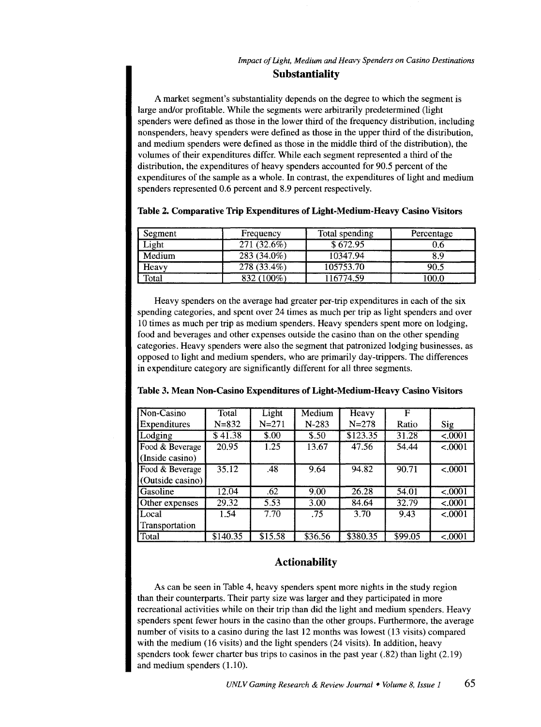# *Impact of Light, Medium and Heavy Spenders on Casino Destinations*  **Substantiality**

A market segment's substantiality depends on the degree to which the segment is large and/or profitable. While the segments were arbitrarily predetermined (light spenders were defined as those in the lower third of the frequency distribution, including nonspenders, heavy spenders were defined as those in the upper third of the distribution, and medium spenders were defined as those in the middle third of the distribution), the volumes of their expenditures differ. While each segment represented a third of the distribution, the expenditures of heavy spenders accounted for 90.5 percent of the expenditures of the sample as a whole. In contrast, the expenditures of light and medium spenders represented 0.6 percent and 8.9 percent respectively.

| Segment | Frequency   | Total spending | Percentage |
|---------|-------------|----------------|------------|
| Light   | 271 (32.6%) | \$672.95       | 0.6        |
| Medium  | 283 (34.0%) | 10347.94       | 8.9        |
| Heavy   | 278 (33.4%) | 105753.70      | 90.5       |
| Total   | 832 (100%)  | 116774.59      | 100.0      |

# **Table 2. Comparative Trip Expenditures of Light-Medium-Heavy Casino Visitors**

Heavy spenders on the average had greater per-trip expenditures in each of the six spending categories, and spent over 24 times as much per trip as light spenders and over 10 times as much per trip as medium spenders. Heavy spenders spent more on lodging, food and beverages and other expenses outside the casino than on the other spending categories. Heavy spenders were also the segment that patronized lodging businesses, as opposed to light and medium spenders, who are primarily day-trippers. The differences in expenditure category are significantly different for all three segments.

| Non-Casino       | Total     | Light     | Medium  | <b>Heavy</b> | F       |         |
|------------------|-----------|-----------|---------|--------------|---------|---------|
| Expenditures     | $N = 832$ | $N = 271$ | $N-283$ | $N = 278$    | Ratio   | Sig     |
| Lodging          | \$41.38   | \$.00     | \$.50   | \$123.35     | 31.28   | < .0001 |
| Food & Beverage  | 20.95     | 1.25      | 13.67   | 47.56        | 54.44   | < .0001 |
| (Inside casino)  |           |           |         |              |         |         |
| Food & Beverage  | 35.12     | .48       | 9.64    | 94.82        | 90.71   | < 0001  |
| (Outside casino) |           |           |         |              |         |         |
| Gasoline         | 12.04     | .62       | 9.00    | 26.28        | 54.01   | < .0001 |
| Other expenses   | 29.32     | 5.53      | 3.00    | 84.64        | 32.79   | < .0001 |
| Local            | 1.54      | 7.70      | .75     | 3.70         | 9.43    | < .0001 |
| Transportation   |           |           |         |              |         |         |
| Total            | \$140.35  | \$15.58   | \$36.56 | \$380.35     | \$99.05 | < 0001  |

#### **Table 3. Mean Non-Casino Expenditures of Light-Medium-Heavy Casino Visitors**

# **Actionability**

As can be seen in Table 4, heavy spenders spent more nights in the study region than their counterparts. Their party size was larger and they participated in more recreational activities while on their trip than did the light and medium spenders. Heavy spenders spent fewer hours in the casino than the other groups. Furthermore, the average number of visits to a casino during the last 12 months was lowest (13 visits) compared with the medium (16 visits) and the light spenders (24 visits). In addition, heavy spenders took fewer charter bus trips to casinos in the past year (.82) than light (2.19) and medium spenders (1.10).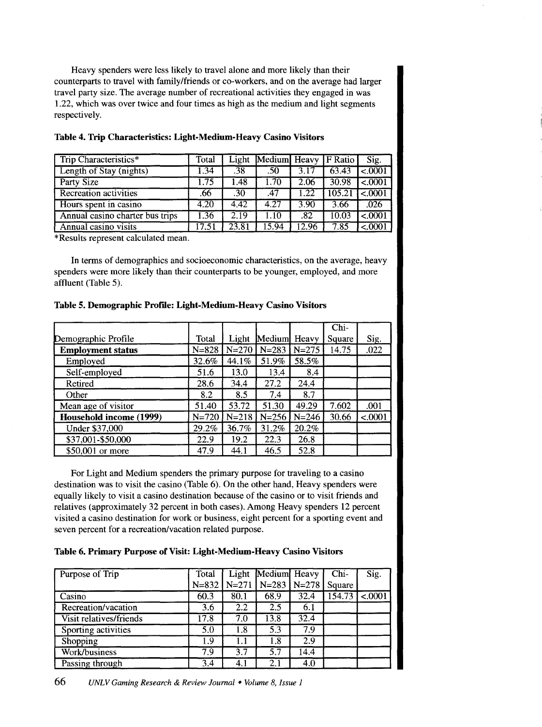Heavy spenders were less likely to travel alone and more likely than their counterparts to travel with family/friends or co-workers, and on the average had larger travel party size. The average number of recreational activities they engaged in was 1.22, which was over twice and four times as high as the medium and light segments respectively.

| Trip Characteristics*           | Total |       | Light Medium Heavy F Ratio |       |        | Sig.          |
|---------------------------------|-------|-------|----------------------------|-------|--------|---------------|
| Length of Stay (nights)         | 1.34  | .38   | .50                        | 3.17  | 63.43  | $\leq 0.0001$ |
| Party Size                      | 1.75  | 1.48  | 1.70                       | 2.06  | 30.98  | < 0.001       |
| <b>Recreation activities</b>    | .66   | .30   | .47                        | 1.22  | 105.21 | $\leq 0.001$  |
| Hours spent in casino           | 4.20  | 4.42  | 4.27                       | 3.90  | 3.66   | .026          |
| Annual casino charter bus trips | 1.36  | 2.19  | 1.10                       | .82   | 10.03  | < 0001        |
| Annual casino visits            | 7.51  | 23.81 | 15.94                      | 12.96 | 7.85   |               |

## **Table 4. Trip Characteristics: Light-Medium-Heavy Casino Visitors**

\*Results represent calculated mean.

In terms of demographics and socioeconomic characteristics, on the average, heavy spenders were more likely than their counterparts to be younger, employed, and more affluent (Table 5).

#### **Table 5. Demographic Profile: Light-Medium-Heavy Casino Visitors**

|                          |           |           |              |           | $Chi-$ |        |
|--------------------------|-----------|-----------|--------------|-----------|--------|--------|
| Demographic Profile      | Total     | Light     | Medium Heavy |           | Square | Sig.   |
| <b>Employment status</b> | $N = 828$ | $N = 270$ | $N = 283$    | $N = 275$ | 14.75  | .022   |
| Employed                 | 32.6%     | 44.1%     | 51.9%        | 58.5%     |        |        |
| Self-employed            | 51.6      | 13.0      | 13.4         | 8.4       |        |        |
| Retired                  | 28.6      | 34.4      | 27.2         | 24.4      |        |        |
| Other                    | 8.2       | 8.5       | 7.4          | 8.7       |        |        |
| Mean age of visitor      | 51.40     | 53.72     | 51.30        | 49.29     | 7.602  | .001   |
| Household income (1999)  | $N = 720$ | $N = 218$ | $N = 256$    | $N = 246$ | 30.66  | < 0001 |
| Under \$37,000           | 29.2%     | 36.7%     | 31.2%        | 20.2%     |        |        |
| \$37,001-\$50,000        | 22.9      | 19.2      | 22.3         | 26.8      |        |        |
| \$50,001 or more         | 47.9      | 44.1      | 46.5         | 52.8      |        |        |

For Light and Medium spenders the primary purpose for traveling to a casino destination was to visit the casino (Table 6). On the other hand, Heavy spenders were equally likely to visit a casino destination because of the casino or to visit friends and relatives (approximately 32 percent in both cases). Among Heavy spenders 12 percent visited a casino destination for work or business, eight percent for a sporting event and seven percent for a recreation/vacation related purpose.

#### **Table 6. Primary Purpose of Visit: Light-Medium-Heavy Casino Visitors**

| Purpose of Trip         | Total     | Light     | Medium Heavy |                 | Chi-   | $\overline{\text{Sig.}}$ |
|-------------------------|-----------|-----------|--------------|-----------------|--------|--------------------------|
|                         | $N = 832$ | $N = 271$ |              | $N=283$ $N=278$ | Square |                          |
| Casino                  | 60.3      | 80.1      | 68.9         | 32.4            | 154.73 | < .0001                  |
| Recreation/vacation     | 3.6       | 2.2       | 2.5          | 6.1             |        |                          |
| Visit relatives/friends | 17.8      | 7.0       | 13.8         | 32.4            |        |                          |
| Sporting activities     | 5.0       | 1.8       | 5.3          | 7.9             |        |                          |
| Shopping                | 1.9       | 1.1       | 1.8          | 2.9             |        |                          |
| Work/business           | 7.9       | 3.7       | 5.7          | 14.4            |        |                          |
| Passing through         | 3.4       | 4.1       | 2.1          | 4.0             |        |                          |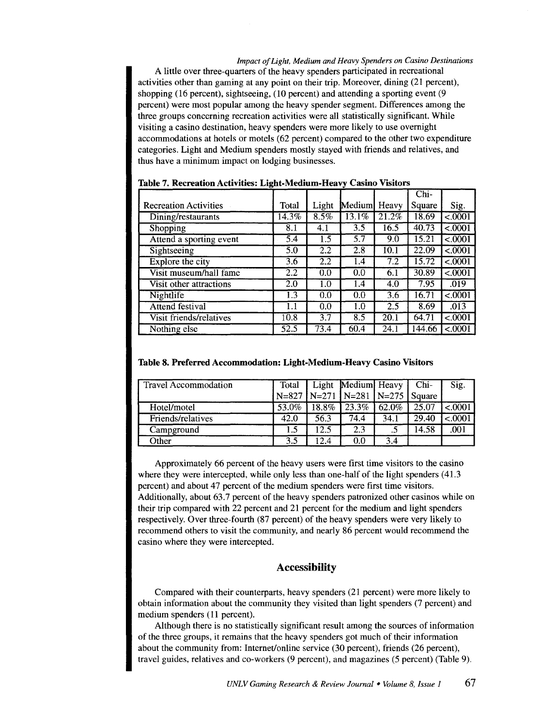*Impact of Light, Medium and Heavy Spenders on Casino Destinations*  A little over three-quarters of the heavy spenders participated in recreational activities other than gaming at any point on their trip. Moreover, dining (21 percent), shopping (16 percent), sightseeing, (10 percent) and attending a sporting event (9 percent) were most popular among the heavy spender segment Differences among the three groups concerning recreation activities were all statistically significant. While visiting a casino destination, heavy spenders were more likely to use overnight accommodations at hotels or motels (62 percent) compared to the other two expenditure categories. Light and Medium spenders mostly stayed with friends and relatives, and thus have a minimum impact on lodging businesses.

| тари, н исстеаной дентним, підпечисацій тисату самно тімогл |          |       |        |                  |        |                 |
|-------------------------------------------------------------|----------|-------|--------|------------------|--------|-----------------|
|                                                             |          |       |        |                  | Chi-   |                 |
| <b>Recreation Activities</b>                                | Total    | Light | Medium | Heavy            | Square | Sig.            |
| Dining/restaurants                                          | $14.3\%$ | 8.5%  | 13.1%  | 21.2%            | 18.69  | < 0001          |
| Shopping                                                    | 8.1      | 4.1   | 3.5    | 16.5             | 40.73  | $\sqrt{6.0001}$ |
| Attend a sporting event                                     | 5.4      | 1.5   | 5.7    | 9.0              | 15.21  | $\sqrt{0.001}$  |
| Sightseeing                                                 | 5.0      | 2.2   | 2.8    | 10.1             | 22.09  | < 0.0001        |
| Explore the city                                            | 3.6      | 2.2   | 1.4    | $\overline{7.2}$ | 15.72  | < .0001         |
| Visit museum/hall fame                                      | 2.2      | 0.0   | 0.0    | 6.1              | 30.89  | < .0001         |
| Visit other attractions                                     | 2.0      | 1.0   | 1.4    | 4.0              | 7.95   | .019            |
| Nightlife                                                   | 1.3      | 0.0   | 0.0    | $\overline{3.6}$ | 16.71  | < 0001          |
| <b>Attend festival</b>                                      | 1.1      | 0.0   | 1.0    | 2.5              | 8.69   | .013            |
| Visit friends/relatives                                     | 10.8     | 3.7   | 8.5    | 20.1             | 64.71  | 50001           |
| Nothing else                                                | 52.5     | 73.4  | 60.4   | 24.1             | 144.66 | < .0001         |

| Table 7. Recreation Activities: Light-Medium-Heavy Casino Visitors |  |  |  |  |  |  |  |
|--------------------------------------------------------------------|--|--|--|--|--|--|--|
|--------------------------------------------------------------------|--|--|--|--|--|--|--|

#### **Table 8. Preferred Accommodation: Light-Medium-Heavy Casino Visitors**

| Travel Accommodation | Total     |         | Light Medium Heavy   |        | $Chi-$ | Sig.   |
|----------------------|-----------|---------|----------------------|--------|--------|--------|
|                      | $N = 827$ | $N=271$ | $N=281$ N=275 Square |        |        |        |
| Hotel/motel          | 53.0%     | 18.8%   | 23.3%                | 62.0%  | 25.07  | <.0001 |
| Friends/relatives    | 42.0      | 56.3    | 74.4                 | 34.1   | 29.40  | < 0.00 |
| Campground           | 1.5       | 12.5    | 2.3                  | $\sim$ | 14.58  | .001   |
| Other                | 3.5       | 2.4     | 0.0                  | 3.4    |        |        |

Approximately 66 percent of the heavy users were first time visitors to the casino where they were intercepted, while only less than one-half of the light spenders (41.3) percent) and about 47 percent of the medium spenders were first time visitors. Additionally, about 63.7 percent of the heavy spenders patronized other casinos while on their trip compared with 22 percent and 21 percent for the medium and light spenders respectively. Over three-fourth (87 percent) of the heavy spenders were very likely to recommend others to visit the community, and nearly 86 percent would recommend the casino where they were intercepted.

# **Accessibility**

Compared with their counterparts, heavy spenders (21 percent) were more likely to obtain information about the community they visited than light spenders (7 percent) and medium spenders (11 percent).

Although there is no statistically significant result among the sources of information of the three groups, it remains that the heavy spenders got much of their information about the community from: Internet/online service (30 percent), friends (26 percent), travel guides, relatives and co-workers (9 percent), and magazines (5 percent) (Table 9).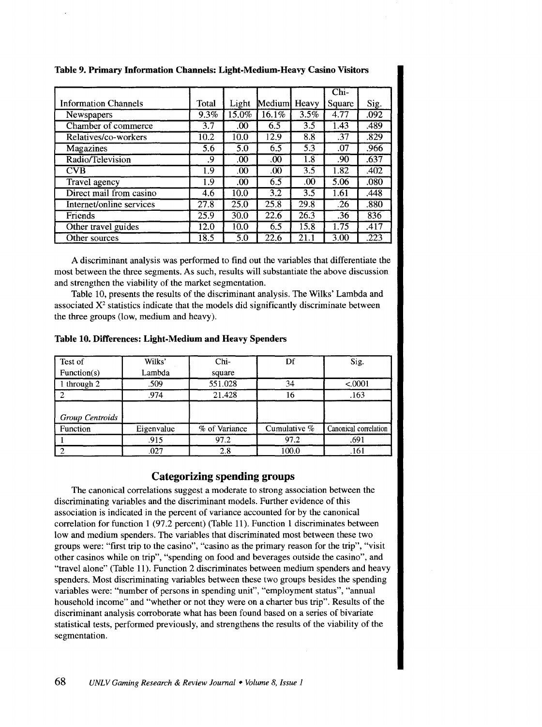|                             |       |                  |          |       | $Chi-$ |      |
|-----------------------------|-------|------------------|----------|-------|--------|------|
| <b>Information Channels</b> | Total | Light            | Medium   | Heavy | Square | Sig. |
| Newspapers                  | 9.3%  | 15.0%            | 16.1%    | 3.5%  | 4.77   | .092 |
| Chamber of commerce         | 3.7   | $.00 \,$         | 6.5      | 3.5   | 1.43   | .489 |
| Relatives/co-workers        | 10.2  | 10.0             | 12.9     | 8.8   | .37    | .829 |
| Magazines                   | 5.6   | 5.0              | 6.5      | 5.3   | .07    | .966 |
| Radio/Television            | .9    | .00.             | .00.     | 1.8   | .90    | .637 |
| <b>CVB</b>                  | 1.9   | .00 <sub>1</sub> | $.00 \,$ | 3.5   | 1.82   | .402 |
| Travel agency               | 1.9   | .00              | 6.5      | .00   | 5.06   | .080 |
| Direct mail from casino     | 4.6   | 10.0             | 3.2      | 3.5   | 1.61   | .448 |
| Internet/online services    | 27.8  | 25.0             | 25.8     | 29.8  | .26    | .880 |
| Friends                     | 25.9  | 30.0             | 22.6     | 26.3  | .36    | 836  |
| Other travel guides         | 12.0  | 10.0             | 6.5      | 15.8  | 1.75   | .417 |
| Other sources               | 18.5  | 5.0              | 22.6     | 21.1  | 3.00   | .223 |

# **Table 9. Primary Information Channels: Light-Medium-Heavy Casino Visitors**

A discriminant analysis was performed to find out the variables that differentiate the most between the three segments. As such, results will substantiate the above discussion and strengthen the viability of the market segmentation.

Table 10, presents the results of the discriminant analysis. The Wilks' Lambda and associated  $X<sup>2</sup>$  statistics indicate that the models did significantly discriminate between the three groups (low, medium and heavy).

#### **Table 10. Differences: Light-Medium and Heavy Spenders**

| Test of         | Wilks'     | $Chi-$        | Df           | Sig.                  |
|-----------------|------------|---------------|--------------|-----------------------|
| Function(s)     | Lambda     | square        |              |                       |
| 1 through 2     | .509       | 551.028       | 34           | < 0001                |
|                 | .974       | 21.428        | 16           | .163                  |
| Group Centroids |            |               |              |                       |
| Function        | Eigenvalue | % of Variance | Cumulative % | Canonical correlation |
|                 | .915       | 97.2          | 97.2         | .691                  |
|                 | .027       | 2.8           | 100.0        | .161                  |

# **Categorizing spending groups**

The canonical correlations suggest a moderate to strong association between the discriminating variables and the discriminant models. Further evidence of this association is indicated in the percent of variance accounted for by the canonical correlation for function 1 (97.2 percent) (Table 11). Function 1 discriminates between low and medium spenders. The variables that discriminated most between these two groups were: "first trip to the casino", "casino as the primary reason for the trip", "visit other casinos while on trip", "spending on food and beverages outside the casino", and "travel alone" (Table 11). Function 2 discriminates between medium spenders and heavy spenders. Most discriminating variables between these two groups besides the spending variables were: "number of persons in spending unit", "employment status", "annual household income" and "whether or not they were on a charter bus trip". Results of the discriminant analysis corroborate what has been found based on a series of bivariate statistical tests, performed previously, and strengthens the results of the viability of the segmentation.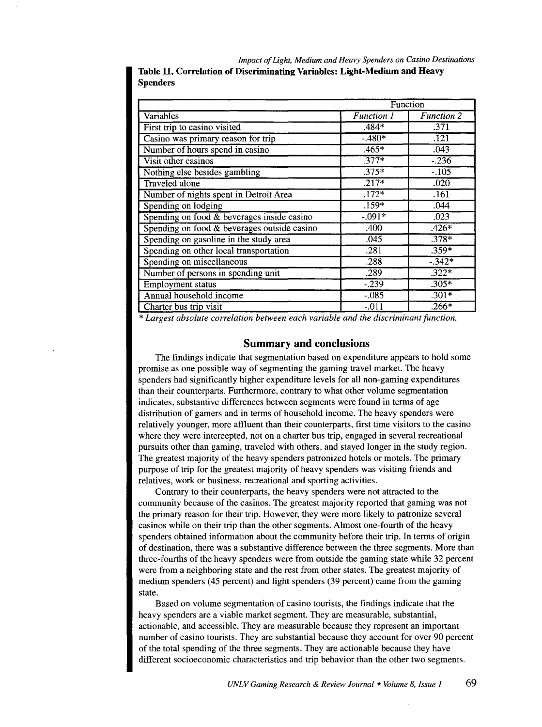*Impact of Light, Mediwn and Heavy Spenders on Casino Destinations* 

| Table 11. Correlation of Discriminating Variables: Light-Medium and Heavy |  |
|---------------------------------------------------------------------------|--|
| <b>Spenders</b>                                                           |  |

|                                             | Function          |                   |
|---------------------------------------------|-------------------|-------------------|
| Variables                                   | <b>Function 1</b> | <b>Function 2</b> |
| First trip to casino visited                | $.484*$           | .371              |
| Casino was primary reason for trip          | $-480*$           | $\overline{.121}$ |
| Number of hours spend in casino             | $.465*$           | .043              |
| Visit other casinos                         | $.377*$           | $-236$            |
| Nothing else besides gambling               | $.375*$           | $-105$            |
| <b>Traveled alone</b>                       | $.217*$           | .020              |
| Number of nights spent in Detroit Area      | $.172*$           | .161              |
| Spending on lodging                         | $.159*$           | .044              |
| Spending on food & beverages inside casino  | $-0.091*$         | .023              |
| Spending on food & beverages outside casino | .400              | $.426*$           |
| Spending on gasoline in the study area      | .045              | $.378*$           |
| Spending on other local transportation      | .281              | $.359*$           |
| Spending on miscellaneous                   | .288              | $-342*$           |
| Number of persons in spending unit          | .289              | $.322*$           |
| <b>Employment</b> status                    | $-239$            | $.305*$           |
| Annual household income                     | $-0.085$          | $.301*$           |
| Charter bus trip visit                      | $-0.011$          | $.266*$           |

*\*Largest absolute correlatwn between each vanable and the discrimmant function.* 

# **Summary and conclusions**

The findings indicate that segmentation based on expenditure appears to hold some promise as one possible way of segmenting the gaming travel market. The heavy spenders had significantly higher expenditure levels for all non-gaming expenditures than their counterparts. Furthermore, contrary to what other volume segmentation indicates, substantive differences between segments were found in terms of age distribution of gamers and in terms of household income. The heavy spenders were relatively younger, more affluent than their counterparts, first time visitors to the casino where they were intercepted, not on a charter bus trip, engaged in several recreational pursuits other than gaming, traveled with others, and stayed longer in the study region. The greatest majority of the heavy spenders patronized hotels or motels. The primary purpose of trip for the greatest majority of heavy spenders was visiting friends and relatives, work or business, recreational and sporting activities.

Contrary to their counterparts, the heavy spenders were not attracted to the community because of the casinos. The greatest majority reported that gaming was not the primary reason for their trip. However, they were more likely to patronize several casinos while on their trip than the other segments. Almost one-fourth of the heavy spenders obtained information about the community before their trip. In terms of origin of destination, there was a substantive difference between the three segments. More than three-fourths of the heavy spenders were from outside the gaming state while 32 percent were from a neighboring state and the rest from other states. The greatest majority of medium spenders (45 percent) and light spenders (39 percent) came from the gaming state.

Based on volume segmentation of casino tourists, the findings indicate that the heavy spenders are a viable market segment. They are measurable, substantial, actionable, and accessible. They are measurable because they represent an important number of casino tourists. They are substantial because they account for over 90 percent of the total spending of the three segments. They are actionable because they have different socioeconomic characteristics and trip behavior than the other two segments.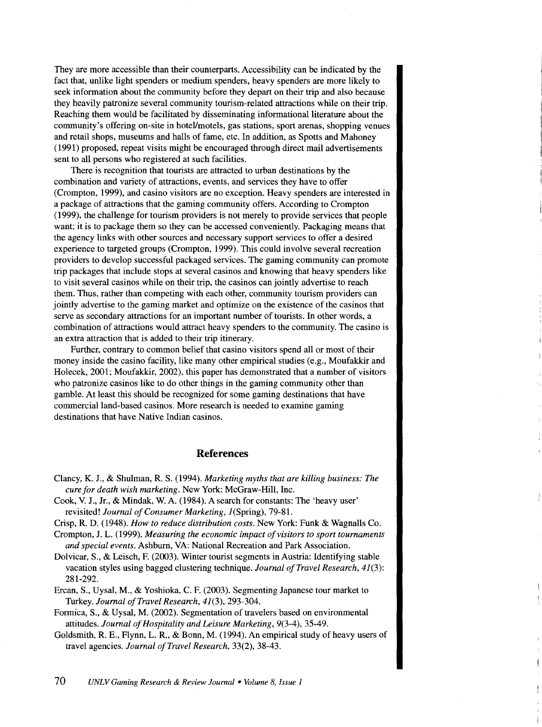They are more accessible than their counterparts. Accessibility can be indicated by the fact that, unlike light spenders or medium spenders, heavy spenders are more likely to seek information about the community before they depart on their trip and also because they heavily patronize several community tourism-related attractions while on their trip. Reaching them would be facilitated by disseminating informational literature about the community's offering on-site in hotel/motels, gas stations, sport arenas, shopping venues and retail shops, museums and halls of fame, etc. In addition, as Spotts and Mahoney (1991) proposed, repeat visits might be encouraged through direct mail advertisements sent to all persons who registered at such facilities.

There is recognition that tourists are attracted to urban destinations by the combination and variety of attractions, events, and services they have to offer (Crompton, 1999), and casino visitors are no exception. Heavy spenders are interested in a package of attractions that the gaming community offers. According to Crompton (1999), the challenge for tourism providers is not merely to provide services that people want; it is to package them so they can be accessed conveniently. Packaging means that the agency links with other sources and necessary support services to offer a desired experience to targeted groups (Crompton, 1999). This could involve several recreation providers to develop successful packaged services. The gaming community can promote trip packages that include stops at several casinos and knowing that heavy spenders like to visit several casinos while on their trip, the casinos can jointly advertise to reach them. Thus, rather than competing with each other, community tourism providers can jointly advertise to the gaming market and optimize on the existence of the casinos that serve as secondary attractions for an important number of tourists. In other words, a combination of attractions would attract heavy spenders to the community. The casino is an extra attraction that is added to their trip itinerary.

Further, contrary to common belief that casino visitors spend all or most of their money inside the casino facility, like many other empirical studies (e.g., Moufakkir and Holecek, 2001; Moufakkir, 2002), this paper has demonstrated that a number of visitors who patronize casinos like to do other things in the gaming community other than gamble. At least this should be recognized for some gaming destinations that have commercial land-based casinos. More research is needed to examine gaming destinations that have Native Indian casinos.

# **References**

- Clancy, K. J., & Shulman, R. S. (1994). *Marketing myths that are killing business: The cure for death wish marketing.* New York: McGraw-Hill, Inc.
- Cook, V. J., Jr., & Mindak, W. A. (1984). A search for constants: The 'heavy user' revisited! *Journal of Consumer Marketing,* 1(Spring), 79-81.
- Crisp, R. D. (1948). *How to reduce distribution costs.* New York: Funk & Wagnalls Co.
- Crompton, J. L. (1999). *Measuring the economic impact of visitors to sport tournaments and special events.* Ashburn, VA: National Recreation and Park Association.
- Dolvicar, S., & Leisch, F. (2003). Winter tourist segments in Austria: Identifying stable vacation styles using bagged clustering technique. *Journal of Travel Research, 41(3):*  281-292.
- Ercan, S., Uysal, M., & Yoshioka, C. F. (2003). Segmenting Japanese tour market to Turkey. *Journal of Travel Research, 41(3),* 293-304.
- Formica, S., & Uysal, M. (2002). Segmentation of travelers based on environmental attitudes. *Journal of Hospitality and Leisure Marketing,* 9(3-4), 35-49.
- Goldsmith, R. E., Flynn, L. R., & Bonn, M. (1994). An empirical study of heavy users of travel agencies. *Journal of Travel Research,* 33(2), 38-43.